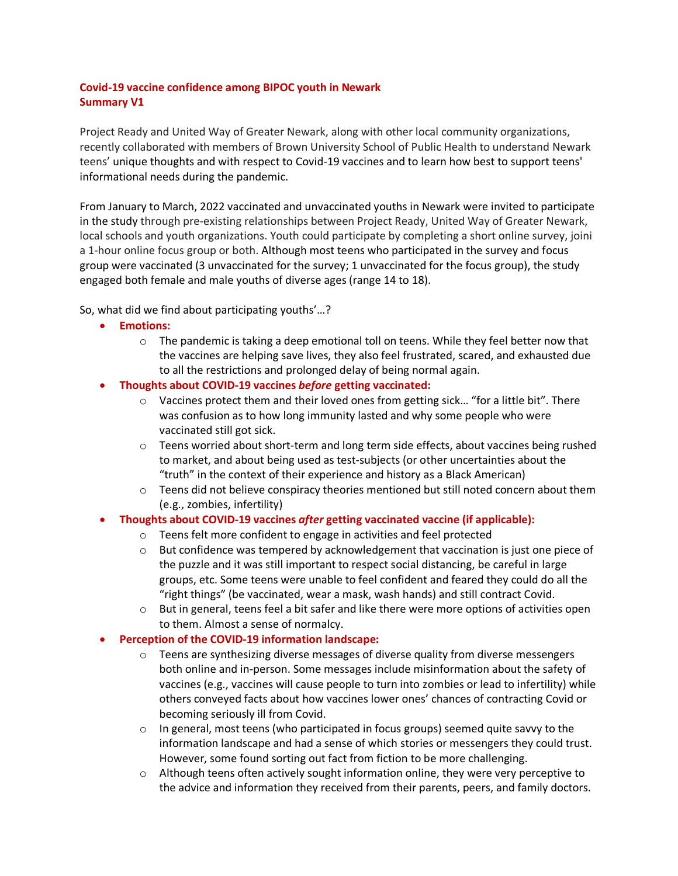# **Covid-19 vaccine confidence among BIPOC youth in Newark Summary V1**

Project Ready and United Way of Greater Newark, along with other local community organizations, recently collaborated with members of Brown University School of Public Health to understand Newark teens' unique thoughts and with respect to Covid-19 vaccines and to learn how best to support teens' informational needs during the pandemic.

From January to March, 2022 vaccinated and unvaccinated youths in Newark were invited to participate in the study through pre-existing relationships between Project Ready, United Way of Greater Newark, local schools and youth organizations. Youth could participate by completing a short online survey, joini a 1-hour online focus group or both. Although most teens who participated in the survey and focus group were vaccinated (3 unvaccinated for the survey; 1 unvaccinated for the focus group), the study engaged both female and male youths of diverse ages (range 14 to 18).

So, what did we find about participating youths'…?

- **Emotions:**
	- $\circ$  The pandemic is taking a deep emotional toll on teens. While they feel better now that the vaccines are helping save lives, they also feel frustrated, scared, and exhausted due to all the restrictions and prolonged delay of being normal again.
- **Thoughts about COVID-19 vaccines** *before* **getting vaccinated:**
	- $\circ$  Vaccines protect them and their loved ones from getting sick... "for a little bit". There was confusion as to how long immunity lasted and why some people who were vaccinated still got sick.
	- $\circ$  Teens worried about short-term and long term side effects, about vaccines being rushed to market, and about being used as test-subjects (or other uncertainties about the "truth" in the context of their experience and history as a Black American)
	- $\circ$  Teens did not believe conspiracy theories mentioned but still noted concern about them (e.g., zombies, infertility)

## • **Thoughts about COVID-19 vaccines** *after* **getting vaccinated vaccine (if applicable):**

- o Teens felt more confident to engage in activities and feel protected
- $\circ$  But confidence was tempered by acknowledgement that vaccination is just one piece of the puzzle and it was still important to respect social distancing, be careful in large groups, etc. Some teens were unable to feel confident and feared they could do all the "right things" (be vaccinated, wear a mask, wash hands) and still contract Covid.
- $\circ$  But in general, teens feel a bit safer and like there were more options of activities open to them. Almost a sense of normalcy.

## • **Perception of the COVID-19 information landscape:**

- $\circ$  Teens are synthesizing diverse messages of diverse quality from diverse messengers both online and in-person. Some messages include misinformation about the safety of vaccines (e.g., vaccines will cause people to turn into zombies or lead to infertility) while others conveyed facts about how vaccines lower ones' chances of contracting Covid or becoming seriously ill from Covid.
- $\circ$  In general, most teens (who participated in focus groups) seemed quite savvy to the information landscape and had a sense of which stories or messengers they could trust. However, some found sorting out fact from fiction to be more challenging.
- $\circ$  Although teens often actively sought information online, they were very perceptive to the advice and information they received from their parents, peers, and family doctors.